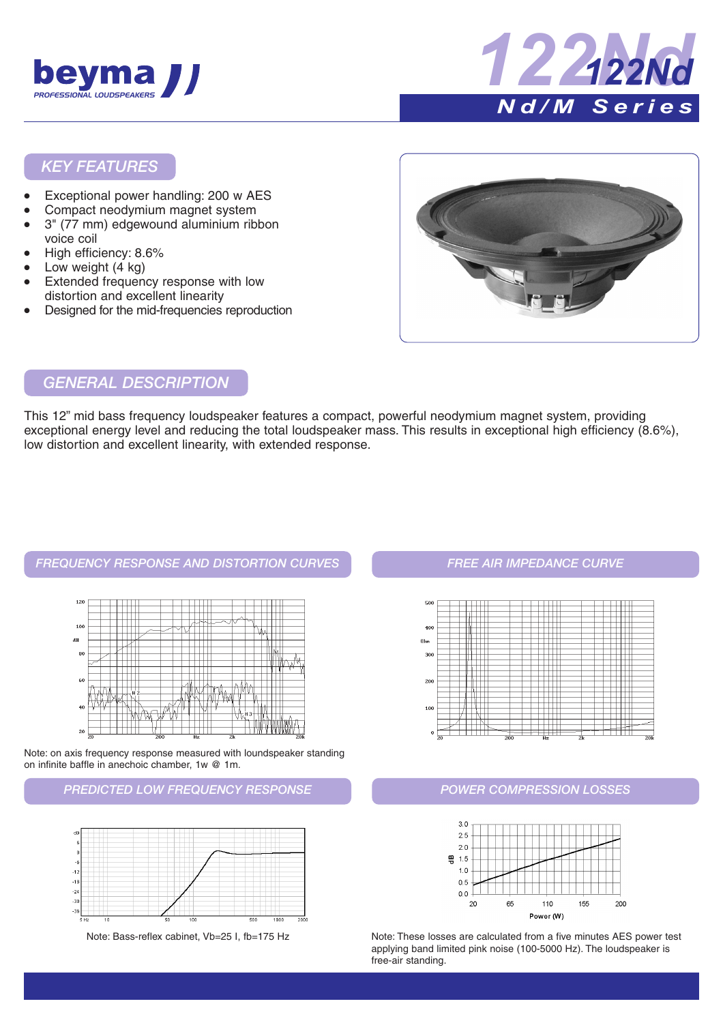



#### *KEY FEATURES*

- Exceptional power handling: 200 w AES
- Compact neodymium magnet system
- 3" (77 mm) edgewound aluminium ribbon voice coil
- High efficiency: 8.6%
- Low weight  $(4 \text{ kg})$
- Extended frequency response with low distortion and excellent linearity
- Designed for the mid-frequencies reproduction



#### *GENERAL DESCRIPTION*

This 12" mid bass frequency loudspeaker features a compact, powerful neodymium magnet system, providing exceptional energy level and reducing the total loudspeaker mass. This results in exceptional high efficiency (8.6%), low distortion and excellent linearity, with extended response.

# *FREQUENCY RESPONSE AND DISTORTION CURVES FREE AIR IMPEDANCE CURVE*



Note: on axis frequency response measured with loundspeaker standing on infinite baffle in anechoic chamber, 1w @ 1m.

#### *PREDICTED LOW FREQUENCY RESPONSE*



Note: Bass-reflex cabinet, Vb=25 I, fb=175 Hz



#### *POWER COMPRESSION LOSSES*



Note: These losses are calculated from a five minutes AES power test applying band limited pink noise (100-5000 Hz). The loudspeaker is free-air standing.